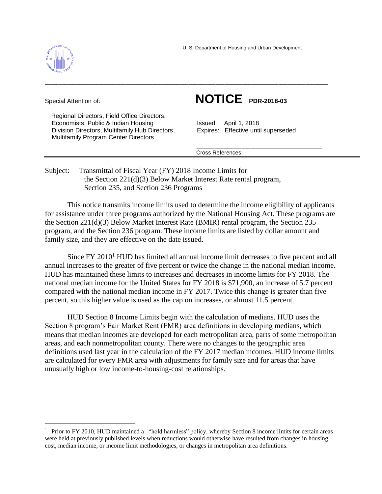



a<br>B

 Regional Directors, Field Office Directors, Economists, Public & Indian Housing Issued: April 1, 2018 Division Directors, Multifamily Hub Directors, Expires: Effective until superseded Multifamily Program Center Directors

## Special Attention of: **NOTICE PDR-2018-03**

Cross References:

Subject: Transmittal of Fiscal Year (FY) 2018 Income Limits for the Section 221(d)(3) Below Market Interest Rate rental program, Section 235, and Section 236 Programs

This notice transmits income limits used to determine the income eligibility of applicants for assistance under three programs authorized by the National Housing Act. These programs are the Section 221(d)(3) Below Market Interest Rate (BMIR) rental program, the Section 235 program, and the Section 236 program. These income limits are listed by dollar amount and family size, and they are effective on the date issued.

Since FY 2010<sup>1</sup> HUD has limited all annual income limit decreases to five percent and all annual increases to the greater of five percent or twice the change in the national median income. HUD has maintained these limits to increases and decreases in income limits for FY 2018. The national median income for the United States for FY 2018 is \$71,900, an increase of 5.7 percent compared with the national median income in FY 2017. Twice this change is greater than five percent, so this higher value is used as the cap on increases, or almost 11.5 percent.

HUD Section 8 Income Limits begin with the calculation of medians. HUD uses the Section 8 program's Fair Market Rent (FMR) area definitions in developing medians, which means that median incomes are developed for each metropolitan area, parts of some metropolitan areas, and each nonmetropolitan county. There were no changes to the geographic area definitions used last year in the calculation of the FY 2017 median incomes. HUD income limits are calculated for every FMR area with adjustments for family size and for areas that have unusually high or low income-to-housing-cost relationships.

<sup>&</sup>lt;sup>1</sup> Prior to FY 2010, HUD maintained a "hold harmless" policy, whereby Section 8 income limits for certain areas were held at previously published levels when reductions would otherwise have resulted from changes in housing cost, median income, or income limit methodologies, or changes in metropolitan area definitions.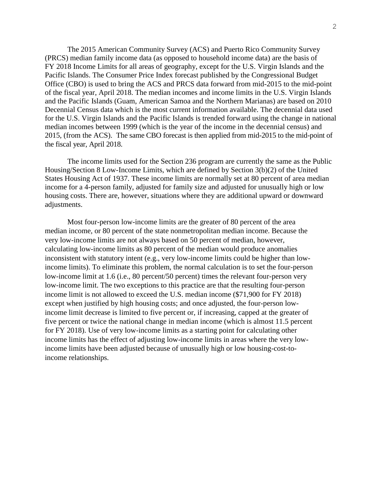The 2015 American Community Survey (ACS) and Puerto Rico Community Survey (PRCS) median family income data (as opposed to household income data) are the basis of FY 2018 Income Limits for all areas of geography, except for the U.S. Virgin Islands and the Pacific Islands. The Consumer Price Index forecast published by the Congressional Budget Office (CBO) is used to bring the ACS and PRCS data forward from mid-2015 to the mid-point of the fiscal year, April 2018. The median incomes and income limits in the U.S. Virgin Islands and the Pacific Islands (Guam, American Samoa and the Northern Marianas) are based on 2010 Decennial Census data which is the most current information available. The decennial data used for the U.S. Virgin Islands and the Pacific Islands is trended forward using the change in national median incomes between 1999 (which is the year of the income in the decennial census) and 2015, (from the ACS). The same CBO forecast is then applied from mid-2015 to the mid-point of the fiscal year, April 2018.

The income limits used for the Section 236 program are currently the same as the Public Housing/Section 8 Low-Income Limits, which are defined by Section 3(b)(2) of the United States Housing Act of 1937. These income limits are normally set at 80 percent of area median income for a 4-person family, adjusted for family size and adjusted for unusually high or low housing costs. There are, however, situations where they are additional upward or downward adjustments.

Most four-person low-income limits are the greater of 80 percent of the area median income, or 80 percent of the state nonmetropolitan median income. Because the very low-income limits are not always based on 50 percent of median, however, calculating low-income limits as 80 percent of the median would produce anomalies inconsistent with statutory intent (e.g., very low-income limits could be higher than lowincome limits). To eliminate this problem, the normal calculation is to set the four-person low-income limit at 1.6 (i.e., 80 percent/50 percent) times the relevant four-person very low-income limit. The two exceptions to this practice are that the resulting four-person income limit is not allowed to exceed the U.S. median income (\$71,900 for FY 2018) except when justified by high housing costs; and once adjusted, the four-person lowincome limit decrease is limited to five percent or, if increasing, capped at the greater of five percent or twice the national change in median income (which is almost 11.5 percent for FY 2018). Use of very low-income limits as a starting point for calculating other income limits has the effect of adjusting low-income limits in areas where the very lowincome limits have been adjusted because of unusually high or low housing-cost-toincome relationships.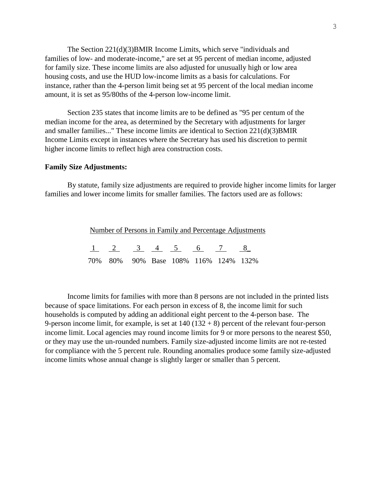The Section 221(d)(3)BMIR Income Limits, which serve "individuals and families of low- and moderate-income," are set at 95 percent of median income, adjusted for family size. These income limits are also adjusted for unusually high or low area housing costs, and use the HUD low-income limits as a basis for calculations. For instance, rather than the 4-person limit being set at 95 percent of the local median income amount, it is set as 95/80ths of the 4-person low-income limit.

Section 235 states that income limits are to be defined as "95 per centum of the median income for the area, as determined by the Secretary with adjustments for larger and smaller families..." These income limits are identical to Section 221(d)(3)BMIR Income Limits except in instances where the Secretary has used his discretion to permit higher income limits to reflect high area construction costs.

## **Family Size Adjustments:**

By statute, family size adjustments are required to provide higher income limits for larger families and lower income limits for smaller families. The factors used are as follows:

|  |  |  | Number of Persons in Family and Percentage Adjustments |  |
|--|--|--|--------------------------------------------------------|--|
|  |  |  |                                                        |  |
|  |  |  | $1 \t2 \t3 \t4 \t5 \t6 \t7 \t8$                        |  |
|  |  |  | 70% 80% 90% Base 108% 116% 124% 132%                   |  |

Income limits for families with more than 8 persons are not included in the printed lists because of space limitations. For each person in excess of 8, the income limit for such households is computed by adding an additional eight percent to the 4-person base. The 9-person income limit, for example, is set at  $140 (132 + 8)$  percent of the relevant four-person income limit. Local agencies may round income limits for 9 or more persons to the nearest \$50, or they may use the un-rounded numbers. Family size-adjusted income limits are not re-tested for compliance with the 5 percent rule. Rounding anomalies produce some family size-adjusted income limits whose annual change is slightly larger or smaller than 5 percent.